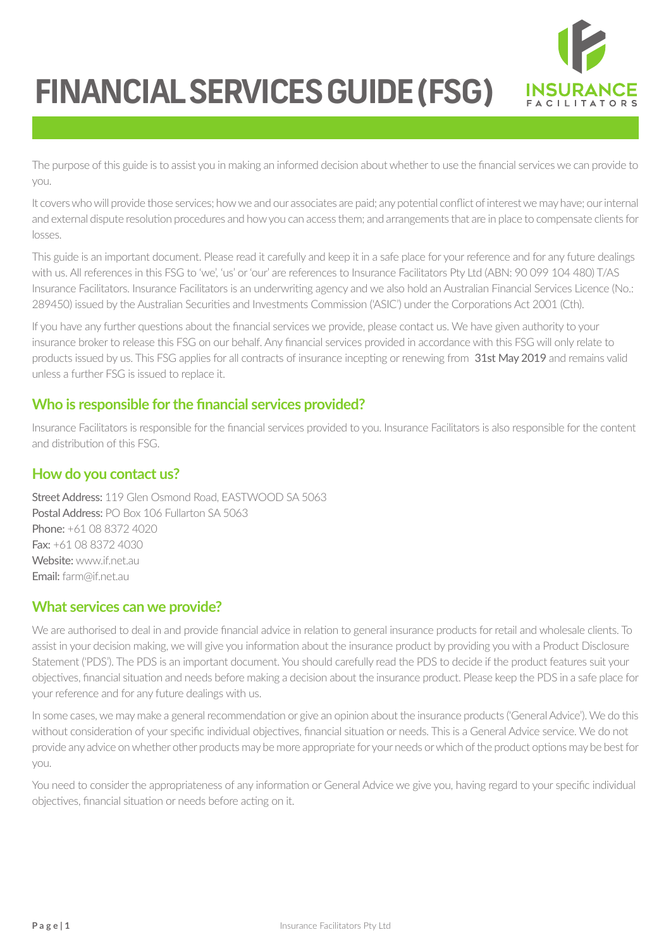

The purpose of this guide is to assist you in making an informed decision about whether to use the financial services we can provide to you.

It covers who will provide those services; how we and our associates are paid; any potential conflict of interest we may have; our internal and external dispute resolution procedures and how you can access them; and arrangements that are in place to compensate clients for losses.

This guide is an important document. Please read it carefully and keep it in a safe place for your reference and for any future dealings with us. All references in this FSG to 'we', 'us' or 'our' are references to Insurance Facilitators Pty Ltd (ABN: 90 099 104 480) T/AS Insurance Facilitators. Insurance Facilitators is an underwriting agency and we also hold an Australian Financial Services Licence (No.: 289450) issued by the Australian Securities and Investments Commission ('ASIC') under the Corporations Act 2001 (Cth).

If you have any further questions about the financial services we provide, please contact us. We have given authority to your insurance broker to release this FSG on our behalf. Any financial services provided in accordance with this FSG will only relate to products issued by us. This FSG applies for all contracts of insurance incepting or renewing from 31st May 2019 and remains valid unless a further FSG is issued to replace it.

## **Who is responsible for the financial services provided?**

Insurance Facilitators is responsible for the financial services provided to you. Insurance Facilitators is also responsible for the content and distribution of this FSG.

## **How do you contact us?**

Street Address: 119 Glen Osmond Road, EASTWOOD SA 5063 Postal Address: PO Box 106 Fullarton SA 5063 Phone: +61 08 8372 4020 Fax: +61 08 8372 4030 Website: www.if.net.au Email: farm@if.net.au

## **What services can we provide?**

We are authorised to deal in and provide financial advice in relation to general insurance products for retail and wholesale clients. To assist in your decision making, we will give you information about the insurance product by providing you with a Product Disclosure Statement ('PDS'). The PDS is an important document. You should carefully read the PDS to decide if the product features suit your objectives, financial situation and needs before making a decision about the insurance product. Please keep the PDS in a safe place for your reference and for any future dealings with us.

In some cases, we may make a general recommendation or give an opinion about the insurance products ('General Advice'). We do this without consideration of your specific individual objectives, financial situation or needs. This is a General Advice service. We do not provide any advice on whether other products may be more appropriate for your needs or which of the product options may be best for you.

You need to consider the appropriateness of any information or General Advice we give you, having regard to your specific individual objectives, financial situation or needs before acting on it.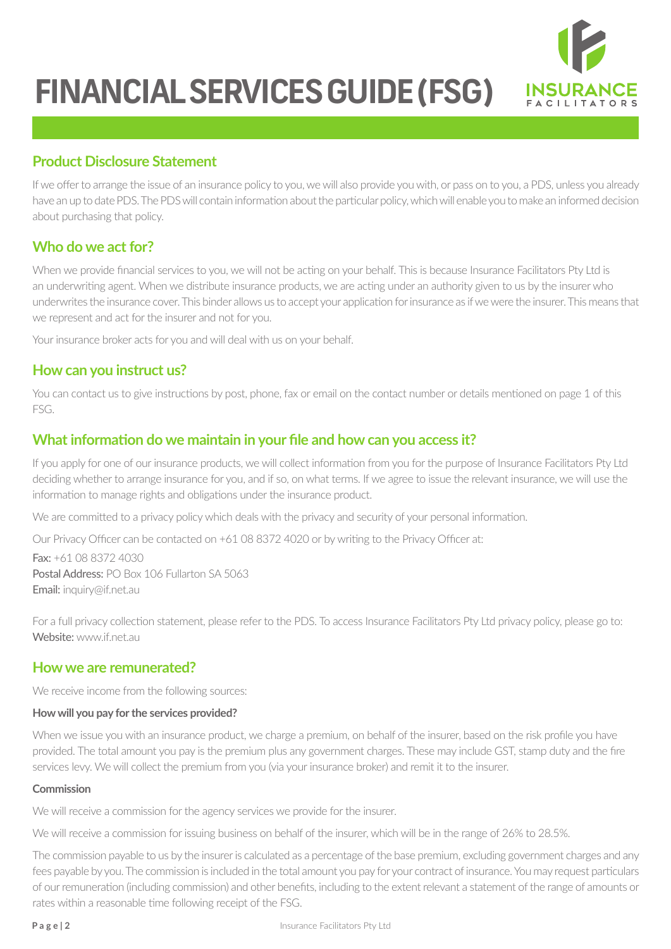

## **Product Disclosure Statement**

If we offer to arrange the issue of an insurance policy to you, we will also provide you with, or pass on to you, a PDS, unless you already have an up to date PDS. The PDS will contain information about the particular policy, which will enable you to make an informed decision about purchasing that policy.

## **Who do we act for?**

When we provide financial services to you, we will not be acting on your behalf. This is because Insurance Facilitators Pty Ltd is an underwriting agent. When we distribute insurance products, we are acting under an authority given to us by the insurer who underwrites the insurance cover. This binder allows us to accept your application for insurance as if we were the insurer. This means that we represent and act for the insurer and not for you.

Your insurance broker acts for you and will deal with us on your behalf.

## **How can you instruct us?**

You can contact us to give instructions by post, phone, fax or email on the contact number or details mentioned on page 1 of this FSG.

## **What information do we maintain in your file and how can you access it?**

If you apply for one of our insurance products, we will collect information from you for the purpose of Insurance Facilitators Pty Ltd deciding whether to arrange insurance for you, and if so, on what terms. If we agree to issue the relevant insurance, we will use the information to manage rights and obligations under the insurance product.

We are committed to a privacy policy which deals with the privacy and security of your personal information.

Our Privacy Officer can be contacted on +61 08 8372 4020 or by writing to the Privacy Officer at:

Fax: +61 08 8372 4030 Postal Address: PO Box 106 Fullarton SA 5063 Email: inquiry@if.net.au

For a full privacy collection statement, please refer to the PDS. To access Insurance Facilitators Pty Ltd privacy policy, please go to: Website: www.if.net.au

## **How we are remunerated?**

We receive income from the following sources:

#### **How will you pay for the services provided?**

When we issue you with an insurance product, we charge a premium, on behalf of the insurer, based on the risk profile you have provided. The total amount you pay is the premium plus any government charges. These may include GST, stamp duty and the fire services levy. We will collect the premium from you (via your insurance broker) and remit it to the insurer.

#### **Commission**

We will receive a commission for the agency services we provide for the insurer.

We will receive a commission for issuing business on behalf of the insurer, which will be in the range of 26% to 28.5%.

The commission payable to us by the insurer is calculated as a percentage of the base premium, excluding government charges and any fees payable by you. The commission is included in the total amount you pay for your contract of insurance. You may request particulars of our remuneration (including commission) and other benefits, including to the extent relevant a statement of the range of amounts or rates within a reasonable time following receipt of the FSG.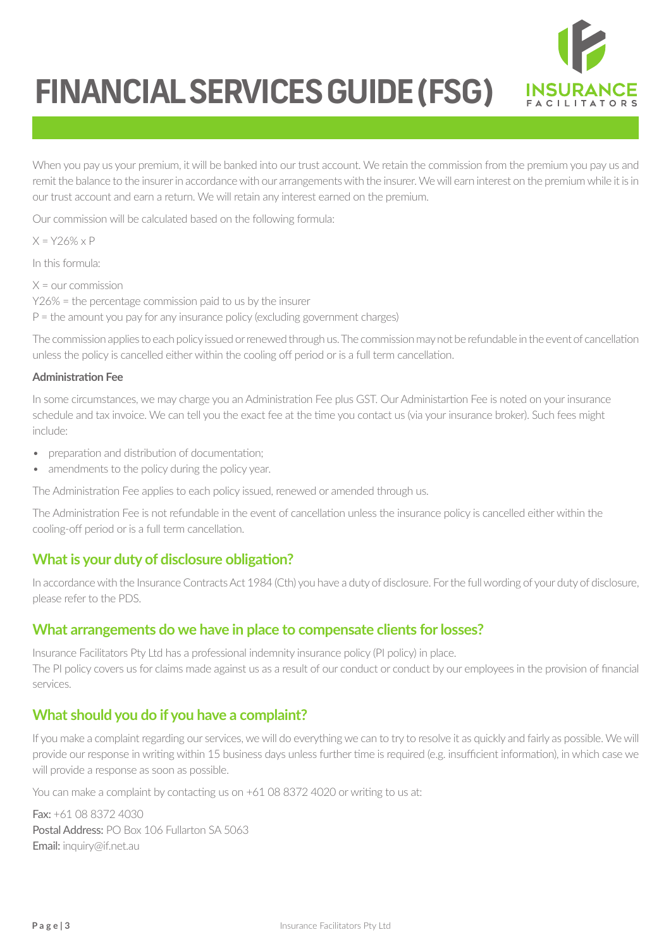

When you pay us your premium, it will be banked into our trust account. We retain the commission from the premium you pay us and remit the balance to the insurer in accordance with our arrangements with the insurer. We will earn interest on the premium while it is in our trust account and earn a return. We will retain any interest earned on the premium.

Our commission will be calculated based on the following formula:

 $X = Y26\% \times P$ 

In this formula:

 $X =$  our commission Y26% = the percentage commission paid to us by the insurer  $P =$  the amount you pay for any insurance policy (excluding government charges)

The commission applies to each policy issued or renewed through us. The commission may not be refundable in the event of cancellation unless the policy is cancelled either within the cooling off period or is a full term cancellation.

#### **Administration Fee**

In some circumstances, we may charge you an Administration Fee plus GST. Our Administartion Fee is noted on your insurance schedule and tax invoice. We can tell you the exact fee at the time you contact us (via your insurance broker). Such fees might include:

- preparation and distribution of documentation;
- amendments to the policy during the policy year.

The Administration Fee applies to each policy issued, renewed or amended through us.

The Administration Fee is not refundable in the event of cancellation unless the insurance policy is cancelled either within the cooling-off period or is a full term cancellation.

## **What is your duty of disclosure obligation?**

In accordance with the Insurance Contracts Act 1984 (Cth) you have a duty of disclosure. For the full wording of your duty of disclosure, please refer to the PDS.

#### **What arrangements do we have in place to compensate clients for losses?**

Insurance Facilitators Pty Ltd has a professional indemnity insurance policy (PI policy) in place. The PI policy covers us for claims made against us as a result of our conduct or conduct by our employees in the provision of financial services.

## **What should you do if you have a complaint?**

If you make a complaint regarding our services, we will do everything we can to try to resolve it as quickly and fairly as possible. We will provide our response in writing within 15 business days unless further time is required (e.g. insufficient information), in which case we will provide a response as soon as possible.

You can make a complaint by contacting us on +61 08 8372 4020 or writing to us at:

Fax: +61 08 8372 4030 Postal Address: PO Box 106 Fullarton SA 5063 Email: inquiry@if.net.au